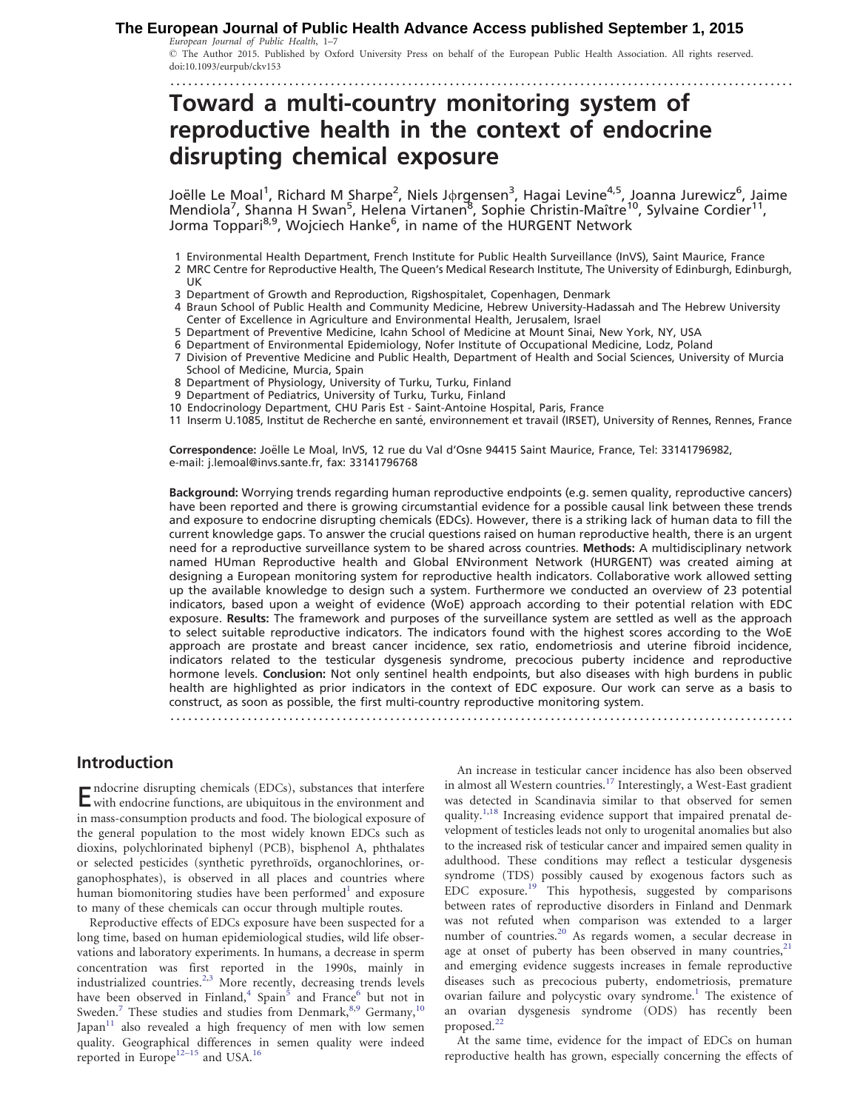#### European Journal of Public Health, 1–7 **The European Journal of Public Health Advance Access published September 1, 2015**

- The Author 2015. Published by Oxford University Press on behalf of the European Public Health Association. All rights reserved. doi:10.1093/eurpub/ckv153

.........................................................................................................

# Toward a multi-country monitoring system of reproductive health in the context of endocrine disrupting chemical exposure

Joëlle Le Moal<sup>1</sup>, Richard M Sharpe<sup>2</sup>, Niels J $\phi$ rgensen $^3$ , Hagai Levine<sup>4,5</sup>, Joanna Jurewicz<sup>6</sup>, Jaime Mendiola<sup>7</sup>, Shanna H Swan<sup>5</sup>, Helena Virtanen<sup>8</sup>, Sophie Christin-Maître<sup>10</sup>, Sylvaine Cordier<sup>11</sup>, Jorma Toppari<sup>8,9</sup>, Wojciech Hanke<sup>6</sup>, in name of the HURGENT Network

- 1 Environmental Health Department, French Institute for Public Health Surveillance (InVS), Saint Maurice, France
- 2 MRC Centre for Reproductive Health, The Queen's Medical Research Institute, The University of Edinburgh, Edinburgh, UK
- 3 Department of Growth and Reproduction, Rigshospitalet, Copenhagen, Denmark
- 4 Braun School of Public Health and Community Medicine, Hebrew University-Hadassah and The Hebrew University Center of Excellence in Agriculture and Environmental Health, Jerusalem, Israel
- 5 Department of Preventive Medicine, Icahn School of Medicine at Mount Sinai, New York, NY, USA
- 6 Department of Environmental Epidemiology, Nofer Institute of Occupational Medicine, Lodz, Poland
- 7 Division of Preventive Medicine and Public Health, Department of Health and Social Sciences, University of Murcia School of Medicine, Murcia, Spain
- 8 Department of Physiology, University of Turku, Turku, Finland
- 9 Department of Pediatrics, University of Turku, Turku, Finland
- 10 Endocrinology Department, CHU Paris Est Saint-Antoine Hospital, Paris, France
- 11 Inserm U.1085, Institut de Recherche en santé, environnement et travail (IRSET), University of Rennes, Rennes, France

Correspondence: Joëlle Le Moal, InVS, 12 rue du Val d'Osne 94415 Saint Maurice, France, Tel: 33141796982, e-mail: j.lemoal@invs.sante.fr, fax: 33141796768

Background: Worrying trends regarding human reproductive endpoints (e.g. semen quality, reproductive cancers) have been reported and there is growing circumstantial evidence for a possible causal link between these trends and exposure to endocrine disrupting chemicals (EDCs). However, there is a striking lack of human data to fill the current knowledge gaps. To answer the crucial questions raised on human reproductive health, there is an urgent need for a reproductive surveillance system to be shared across countries. Methods: A multidisciplinary network named HUman Reproductive health and Global ENvironment Network (HURGENT) was created aiming at designing a European monitoring system for reproductive health indicators. Collaborative work allowed setting up the available knowledge to design such a system. Furthermore we conducted an overview of 23 potential indicators, based upon a weight of evidence (WoE) approach according to their potential relation with EDC exposure. Results: The framework and purposes of the surveillance system are settled as well as the approach to select suitable reproductive indicators. The indicators found with the highest scores according to the WoE approach are prostate and breast cancer incidence, sex ratio, endometriosis and uterine fibroid incidence, indicators related to the testicular dysgenesis syndrome, precocious puberty incidence and reproductive hormone levels. Conclusion: Not only sentinel health endpoints, but also diseases with high burdens in public health are highlighted as prior indicators in the context of EDC exposure. Our work can serve as a basis to construct, as soon as possible, the first multi-country reproductive monitoring system.

.........................................................................................................

## Introduction

Endocrine disrupting chemicals (EDCs), substances that interfere with endocrine functions, are ubiquitous in the environment and in mass-consumption products and food. The biological exposure of the general population to the most widely known EDCs such as dioxins, polychlorinated biphenyl (PCB), bisphenol A, phthalates or selected pesticides (synthetic pyrethroïds, organochlorines, organophosphates), is observed in all places and countries where human biomonitoring studies have been performed<sup>[1](#page-5-0)</sup> and exposure to many of these chemicals can occur through multiple routes.

Reproductive effects of EDCs exposure have been suspected for a long time, based on human epidemiological studies, wild life observations and laboratory experiments. In humans, a decrease in sperm concentration was first reported in the 1990s, mainly in industrialized countries.<sup>[2](#page-5-0),[3](#page-5-0)</sup> More recently, decreasing trends levels have been observed in Finland,<sup>[4](#page-5-0)</sup> Spain<sup>[5](#page-5-0)</sup> and France<sup>[6](#page-5-0)</sup> but not in Sweden.<sup>[7](#page-5-0)</sup> These studies and studies from Denmark,  $8,9$  Germany,  $10$ Japan $11$  also revealed a high frequency of men with low semen quality. Geographical differences in semen quality were indeed reported in Europe $12-15$  and USA.<sup>[16](#page-6-0)</sup>

An increase in testicular cancer incidence has also been observed in almost all Western countries.<sup>[17](#page-6-0)</sup> Interestingly, a West-East gradient was detected in Scandinavia similar to that observed for semen quality.<sup>[1](#page-5-0)[,18](#page-6-0)</sup> Increasing evidence support that impaired prenatal development of testicles leads not only to urogenital anomalies but also to the increased risk of testicular cancer and impaired semen quality in adulthood. These conditions may reflect a testicular dysgenesis syndrome (TDS) possibly caused by exogenous factors such as EDC exposure.[19](#page-6-0) This hypothesis, suggested by comparisons between rates of reproductive disorders in Finland and Denmark was not refuted when comparison was extended to a larger number of countries.<sup>[20](#page-6-0)</sup> As regards women, a secular decrease in age at onset of puberty has been observed in many countries, $21$ and emerging evidence suggests increases in female reproductive diseases such as precocious puberty, endometriosis, premature ovarian failure and polycystic ovary syndrome.<sup>[1](#page-5-0)</sup> The existence of an ovarian dysgenesis syndrome (ODS) has recently been proposed.<sup>[22](#page-6-0)</sup>

At the same time, evidence for the impact of EDCs on human reproductive health has grown, especially concerning the effects of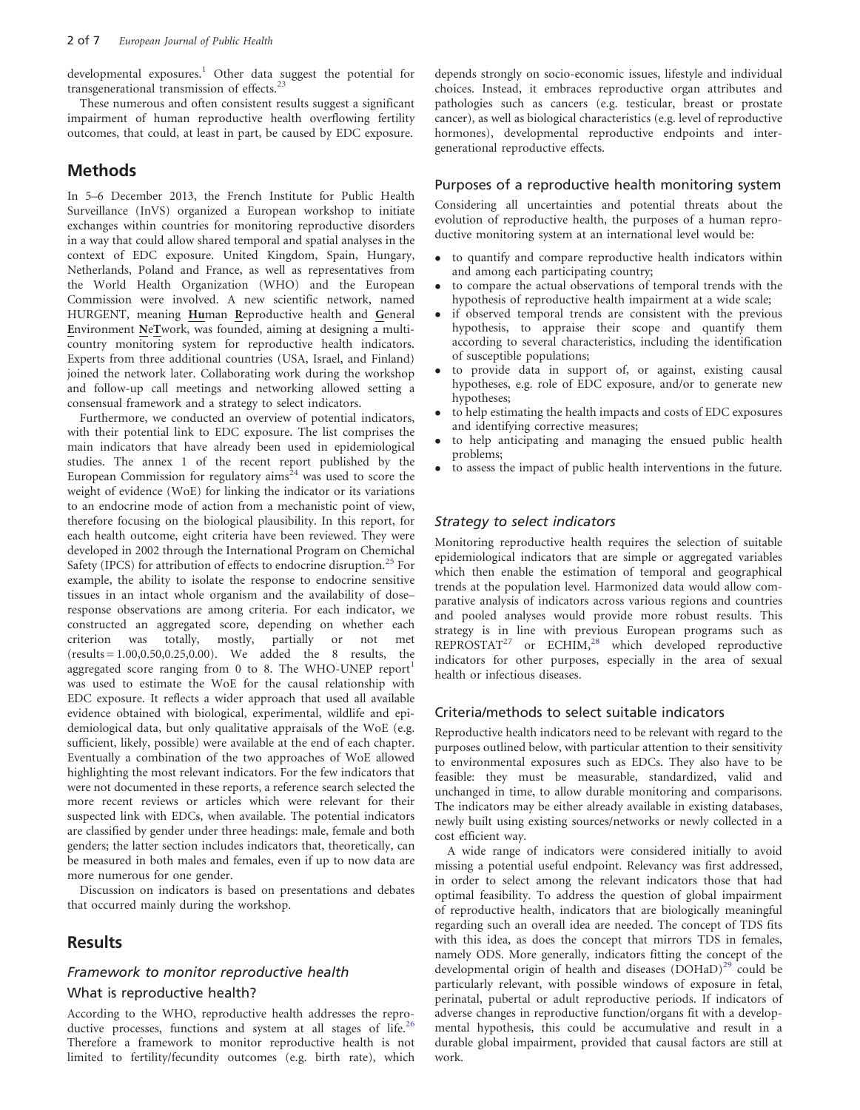developmental exposures.<sup>[1](#page-5-0)</sup> Other data suggest the potential for transgenerational transmission of effects.<sup>[23](#page-6-0)</sup>

These numerous and often consistent results suggest a significant impairment of human reproductive health overflowing fertility outcomes, that could, at least in part, be caused by EDC exposure.

### **Methods**

In 5–6 December 2013, the French Institute for Public Health Surveillance (InVS) organized a European workshop to initiate exchanges within countries for monitoring reproductive disorders in a way that could allow shared temporal and spatial analyses in the context of EDC exposure. United Kingdom, Spain, Hungary, Netherlands, Poland and France, as well as representatives from the World Health Organization (WHO) and the European Commission were involved. A new scientific network, named HURGENT, meaning Human Reproductive health and General Environment NeTwork, was founded, aiming at designing a multicountry monitoring system for reproductive health indicators. Experts from three additional countries (USA, Israel, and Finland) joined the network later. Collaborating work during the workshop and follow-up call meetings and networking allowed setting a consensual framework and a strategy to select indicators.

Furthermore, we conducted an overview of potential indicators, with their potential link to EDC exposure. The list comprises the main indicators that have already been used in epidemiological studies. The annex 1 of the recent report published by the European Commission for regulatory  $\dim s^{24}$  $\dim s^{24}$  $\dim s^{24}$  was used to score the weight of evidence (WoE) for linking the indicator or its variations to an endocrine mode of action from a mechanistic point of view, therefore focusing on the biological plausibility. In this report, for each health outcome, eight criteria have been reviewed. They were developed in 2002 through the International Program on Chemichal Safety (IPCS) for attribution of effects to endocrine disruption.<sup>[25](#page-6-0)</sup> For example, the ability to isolate the response to endocrine sensitive tissues in an intact whole organism and the availability of dose– response observations are among criteria. For each indicator, we constructed an aggregated score, depending on whether each criterion was totally, mostly, partially or not met (results = 1.00,0.50,0.25,0.00). We added the 8 results, the aggregated score ranging from 0 to 8. The WHO-UNEP report was used to estimate the WoE for the causal relationship with EDC exposure. It reflects a wider approach that used all available evidence obtained with biological, experimental, wildlife and epidemiological data, but only qualitative appraisals of the WoE (e.g. sufficient, likely, possible) were available at the end of each chapter. Eventually a combination of the two approaches of WoE allowed highlighting the most relevant indicators. For the few indicators that were not documented in these reports, a reference search selected the more recent reviews or articles which were relevant for their suspected link with EDCs, when available. The potential indicators are classified by gender under three headings: male, female and both genders; the latter section includes indicators that, theoretically, can be measured in both males and females, even if up to now data are more numerous for one gender.

Discussion on indicators is based on presentations and debates that occurred mainly during the workshop.

## Results

#### Framework to monitor reproductive health

### What is reproductive health?

According to the WHO, reproductive health addresses the repro-ductive processes, functions and system at all stages of life.<sup>[26](#page-6-0)</sup> Therefore a framework to monitor reproductive health is not limited to fertility/fecundity outcomes (e.g. birth rate), which

depends strongly on socio-economic issues, lifestyle and individual choices. Instead, it embraces reproductive organ attributes and pathologies such as cancers (e.g. testicular, breast or prostate cancer), as well as biological characteristics (e.g. level of reproductive hormones), developmental reproductive endpoints and intergenerational reproductive effects.

#### Purposes of a reproductive health monitoring system

Considering all uncertainties and potential threats about the evolution of reproductive health, the purposes of a human reproductive monitoring system at an international level would be:

- to quantify and compare reproductive health indicators within and among each participating country;
- $\bullet$  to compare the actual observations of temporal trends with the hypothesis of reproductive health impairment at a wide scale;
- $\bullet$  if observed temporal trends are consistent with the previous hypothesis, to appraise their scope and quantify them according to several characteristics, including the identification of susceptible populations;
- $\bullet$  to provide data in support of, or against, existing causal hypotheses, e.g. role of EDC exposure, and/or to generate new hypotheses;
- $\bullet$  to help estimating the health impacts and costs of EDC exposures and identifying corrective measures;
- $\bullet$  to help anticipating and managing the ensued public health problems;
- to assess the impact of public health interventions in the future.

#### Strategy to select indicators

Monitoring reproductive health requires the selection of suitable epidemiological indicators that are simple or aggregated variables which then enable the estimation of temporal and geographical trends at the population level. Harmonized data would allow comparative analysis of indicators across various regions and countries and pooled analyses would provide more robust results. This strategy is in line with previous European programs such as REPROSTAT<sup>[27](#page-6-0)</sup> or ECHIM,<sup>[28](#page-6-0)</sup> which developed reproductive indicators for other purposes, especially in the area of sexual health or infectious diseases.

#### Criteria/methods to select suitable indicators

Reproductive health indicators need to be relevant with regard to the purposes outlined below, with particular attention to their sensitivity to environmental exposures such as EDCs. They also have to be feasible: they must be measurable, standardized, valid and unchanged in time, to allow durable monitoring and comparisons. The indicators may be either already available in existing databases, newly built using existing sources/networks or newly collected in a cost efficient way.

A wide range of indicators were considered initially to avoid missing a potential useful endpoint. Relevancy was first addressed, in order to select among the relevant indicators those that had optimal feasibility. To address the question of global impairment of reproductive health, indicators that are biologically meaningful regarding such an overall idea are needed. The concept of TDS fits with this idea, as does the concept that mirrors TDS in females, namely ODS. More generally, indicators fitting the concept of the developmental origin of health and diseases  $(DOHaD)<sup>29</sup>$  $(DOHaD)<sup>29</sup>$  $(DOHaD)<sup>29</sup>$  could be particularly relevant, with possible windows of exposure in fetal, perinatal, pubertal or adult reproductive periods. If indicators of adverse changes in reproductive function/organs fit with a developmental hypothesis, this could be accumulative and result in a durable global impairment, provided that causal factors are still at work.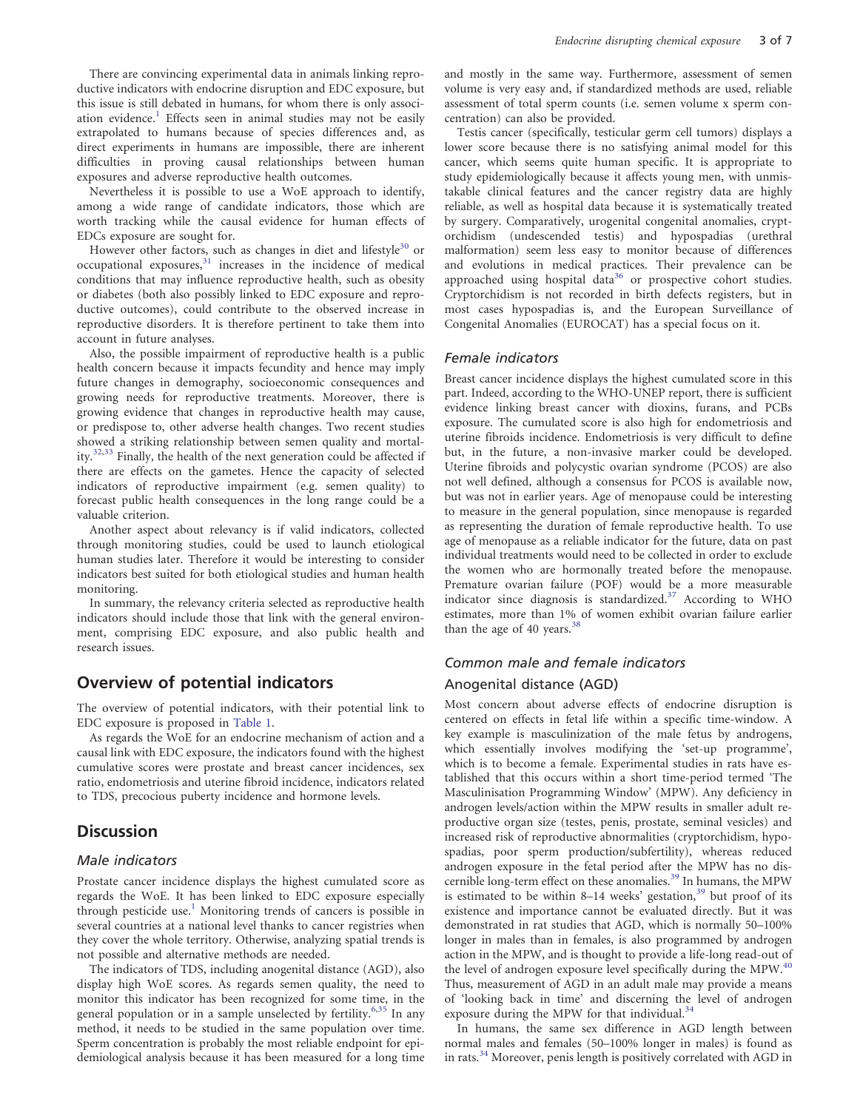There are convincing experimental data in animals linking reproductive indicators with endocrine disruption and EDC exposure, but this issue is still debated in humans, for whom there is only associ-ation evidence.<sup>[1](#page-5-0)</sup> Effects seen in animal studies may not be easily extrapolated to humans because of species differences and, as direct experiments in humans are impossible, there are inherent difficulties in proving causal relationships between human exposures and adverse reproductive health outcomes.

Nevertheless it is possible to use a WoE approach to identify, among a wide range of candidate indicators, those which are worth tracking while the causal evidence for human effects of EDCs exposure are sought for.

However other factors, such as changes in diet and lifestyle<sup>[30](#page-6-0)</sup> or  $occupational$  exposures, $31$  increases in the incidence of medical conditions that may influence reproductive health, such as obesity or diabetes (both also possibly linked to EDC exposure and reproductive outcomes), could contribute to the observed increase in reproductive disorders. It is therefore pertinent to take them into account in future analyses.

Also, the possible impairment of reproductive health is a public health concern because it impacts fecundity and hence may imply future changes in demography, socioeconomic consequences and growing needs for reproductive treatments. Moreover, there is growing evidence that changes in reproductive health may cause, or predispose to, other adverse health changes. Two recent studies showed a striking relationship between semen quality and mortality. $32,33$  Finally, the health of the next generation could be affected if there are effects on the gametes. Hence the capacity of selected indicators of reproductive impairment (e.g. semen quality) to forecast public health consequences in the long range could be a valuable criterion.

Another aspect about relevancy is if valid indicators, collected through monitoring studies, could be used to launch etiological human studies later. Therefore it would be interesting to consider indicators best suited for both etiological studies and human health monitoring.

In summary, the relevancy criteria selected as reproductive health indicators should include those that link with the general environment, comprising EDC exposure, and also public health and research issues.

## Overview of potential indicators

The overview of potential indicators, with their potential link to EDC exposure is proposed in [Table 1](#page-3-0).

As regards the WoE for an endocrine mechanism of action and a causal link with EDC exposure, the indicators found with the highest cumulative scores were prostate and breast cancer incidences, sex ratio, endometriosis and uterine fibroid incidence, indicators related to TDS, precocious puberty incidence and hormone levels.

### **Discussion**

#### Male indicators

Prostate cancer incidence displays the highest cumulated score as regards the WoE. It has been linked to EDC exposure especially through pesticide use.<sup>[1](#page-5-0)</sup> Monitoring trends of cancers is possible in several countries at a national level thanks to cancer registries when they cover the whole territory. Otherwise, analyzing spatial trends is not possible and alternative methods are needed.

The indicators of TDS, including anogenital distance (AGD), also display high WoE scores. As regards semen quality, the need to monitor this indicator has been recognized for some time, in the general population or in a sample unselected by fertility.<sup>[6,](#page-5-0)[35](#page-6-0)</sup> In any method, it needs to be studied in the same population over time. Sperm concentration is probably the most reliable endpoint for epidemiological analysis because it has been measured for a long time and mostly in the same way. Furthermore, assessment of semen volume is very easy and, if standardized methods are used, reliable assessment of total sperm counts (i.e. semen volume x sperm concentration) can also be provided.

Testis cancer (specifically, testicular germ cell tumors) displays a lower score because there is no satisfying animal model for this cancer, which seems quite human specific. It is appropriate to study epidemiologically because it affects young men, with unmistakable clinical features and the cancer registry data are highly reliable, as well as hospital data because it is systematically treated by surgery. Comparatively, urogenital congenital anomalies, cryptorchidism (undescended testis) and hypospadias (urethral malformation) seem less easy to monitor because of differences and evolutions in medical practices. Their prevalence can be approached using hospital data<sup>[36](#page-6-0)</sup> or prospective cohort studies. Cryptorchidism is not recorded in birth defects registers, but in most cases hypospadias is, and the European Surveillance of Congenital Anomalies (EUROCAT) has a special focus on it.

#### Female indicators

Breast cancer incidence displays the highest cumulated score in this part. Indeed, according to the WHO-UNEP report, there is sufficient evidence linking breast cancer with dioxins, furans, and PCBs exposure. The cumulated score is also high for endometriosis and uterine fibroids incidence. Endometriosis is very difficult to define but, in the future, a non-invasive marker could be developed. Uterine fibroids and polycystic ovarian syndrome (PCOS) are also not well defined, although a consensus for PCOS is available now, but was not in earlier years. Age of menopause could be interesting to measure in the general population, since menopause is regarded as representing the duration of female reproductive health. To use age of menopause as a reliable indicator for the future, data on past individual treatments would need to be collected in order to exclude the women who are hormonally treated before the menopause. Premature ovarian failure (POF) would be a more measurable indicator since diagnosis is standardized.<sup>[37](#page-6-0)</sup> According to WHO estimates, more than 1% of women exhibit ovarian failure earlier than the age of 40 years. $3$ 

### Common male and female indicators Anogenital distance (AGD)

Most concern about adverse effects of endocrine disruption is centered on effects in fetal life within a specific time-window. A key example is masculinization of the male fetus by androgens, which essentially involves modifying the 'set-up programme', which is to become a female. Experimental studies in rats have established that this occurs within a short time-period termed 'The Masculinisation Programming Window' (MPW). Any deficiency in androgen levels/action within the MPW results in smaller adult reproductive organ size (testes, penis, prostate, seminal vesicles) and increased risk of reproductive abnormalities (cryptorchidism, hypospadias, poor sperm production/subfertility), whereas reduced androgen exposure in the fetal period after the MPW has no dis-cernible long-term effect on these anomalies.<sup>[39](#page-6-0)</sup> In humans, the MPW is estimated to be within 8-14 weeks' gestation,<sup>[39](#page-6-0)</sup> but proof of its existence and importance cannot be evaluated directly. But it was demonstrated in rat studies that AGD, which is normally 50–100% longer in males than in females, is also programmed by androgen action in the MPW, and is thought to provide a life-long read-out of the level of androgen exposure level specifically during the MPW.<sup>[40](#page-6-0)</sup> Thus, measurement of AGD in an adult male may provide a means of 'looking back in time' and discerning the level of androgen exposure during the MPW for that individual.<sup>[34](#page-6-0)</sup>

In humans, the same sex difference in AGD length between normal males and females (50–100% longer in males) is found as in rats.[34](#page-6-0) Moreover, penis length is positively correlated with AGD in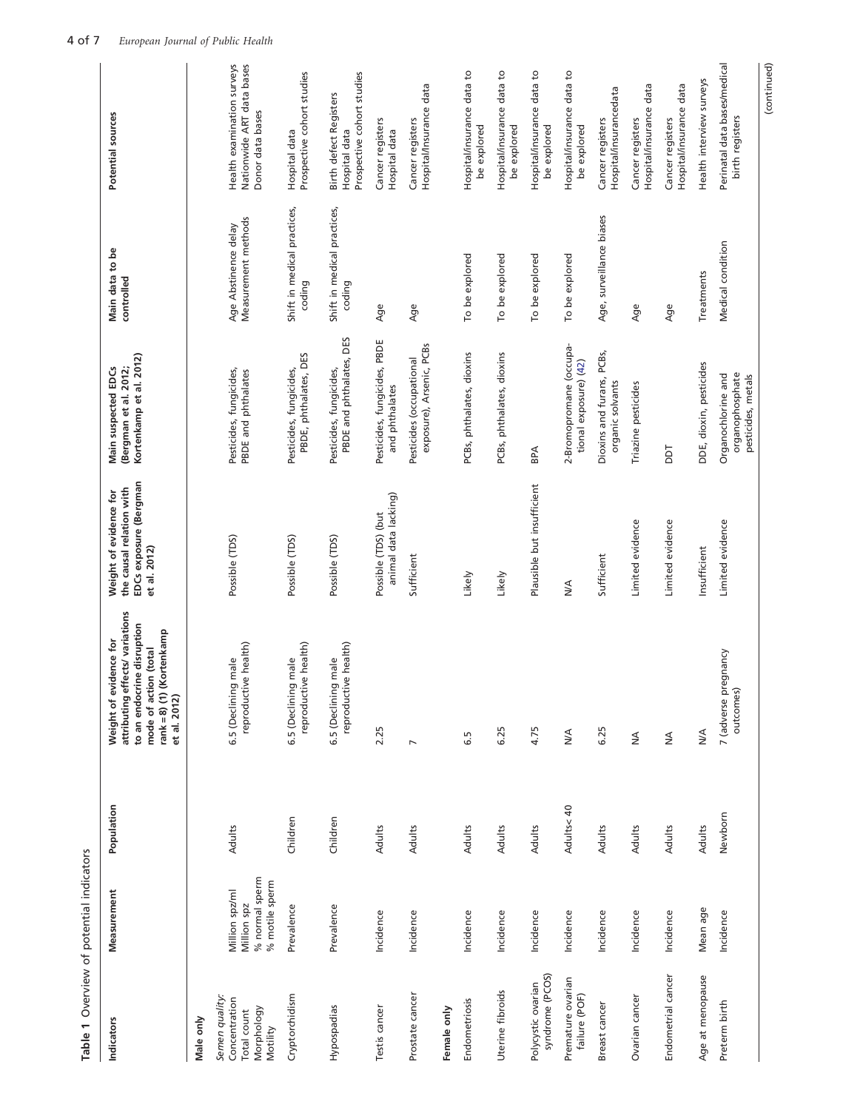<span id="page-3-0"></span>

| Table 1 Overview of potential indicators                                 |                                                                   |            |                                                                                                                                                                 |                                                                                              |                                                                         |                                             |                                                                              |
|--------------------------------------------------------------------------|-------------------------------------------------------------------|------------|-----------------------------------------------------------------------------------------------------------------------------------------------------------------|----------------------------------------------------------------------------------------------|-------------------------------------------------------------------------|---------------------------------------------|------------------------------------------------------------------------------|
| Indicators                                                               | Measurement                                                       | Population | attributing effects/variations<br>to an endocrine disruption<br>rank=8) (1) (Kortenkamp<br>idence for<br>mode of action (total<br>Weight of evi<br>et al. 2012) | EDCs exposure (Bergman<br>the causal relation with<br>Weight of evidence for<br>et al. 2012) | Kortenkamp et al. 2012)<br>Main suspected EDCs<br>(Bergman et al. 2012; | Main data to be<br>controlled               | Potential sources                                                            |
| Male only                                                                |                                                                   |            |                                                                                                                                                                 |                                                                                              |                                                                         |                                             |                                                                              |
| Semen quality:<br>Concentration<br>Morphology<br>Total count<br>Motility | % normal sperm<br>% motile sperm<br>Million spz/ml<br>Million spz | Adults     | e health)<br>male<br>6.5 (Declining<br>reproductiv                                                                                                              | Possible (TDS)                                                                               | Pesticides, fungicides,<br>PBDE and phthalates                          | Measurement methods<br>Age Abstinence delay | Health examination surveys<br>Nationwide ART data bases<br>Donor data bases  |
| Cryptorchidism                                                           | Prevalence                                                        | Children   | e health)<br>male<br>6.5 (Declining<br>reproductiv                                                                                                              | Possible (TDS)                                                                               | PBDE, phthalates, DES<br>Pesticides, fungicides,                        | Shift in medical practices,<br>coding       | Prospective cohort studies<br>Hospital data                                  |
| Hypospadias                                                              | Prevalence                                                        | Children   | reproductive health)<br>  male<br>6.5 (Declining                                                                                                                | Possible (TDS)                                                                               | PBDE and phthalates, DES<br>Pesticides, fungicides,                     | Shift in medical practices,<br>coding       | Prospective cohort studies<br><b>Birth defect Registers</b><br>Hospital data |
| Testis cancer                                                            | Incidence                                                         | Adults     | 2.25                                                                                                                                                            | animal data lacking)<br>Possible (TDS) (but                                                  | Pesticides, fungicides, PBDE<br>and phthalates                          | Age                                         | Cancer registers<br>Hospital data                                            |
| Prostate cancer                                                          | Incidence                                                         | Adults     | $\overline{\phantom{a}}$                                                                                                                                        | Sufficient                                                                                   | exposure), Arsenic, PCBs<br>Pesticides (occupational                    | Age                                         | Hospital/Insurance data<br>Cancer registers                                  |
| Female only                                                              |                                                                   |            |                                                                                                                                                                 |                                                                                              |                                                                         |                                             |                                                                              |
| Endometriosis                                                            | Incidence                                                         | Adults     | 6.5                                                                                                                                                             | Likely                                                                                       | PCBs, phthalates, dioxins                                               | To be explored                              | Hospital/insurance data to<br>be explored                                    |
| Uterine fibroids                                                         | Incidence                                                         | Adults     | 6.25                                                                                                                                                            | Likely                                                                                       | PCBs, phthalates, dioxins                                               | To be explored                              | Hospital/insurance data to<br>be explored                                    |
| syndrome (PCOS)<br>Polycystic ovarian                                    | Incidence                                                         | Adults     | 4.75                                                                                                                                                            | Plausible but insufficient                                                                   | BPA                                                                     | To be explored                              | Hospital/insurance data to<br>be explored                                    |
| Premature ovarian<br>failure (POF)                                       | Incidence                                                         | Adults<40  | $\stackrel{\triangle}{\geq}$                                                                                                                                    | ₹                                                                                            | 2-Bromopromane (occupa-<br>tional exposure) (42)                        | To be explored                              | Hospital/insurance data to<br>be explored                                    |
| Breast cancer                                                            | Incidence                                                         | Adults     | 6.25                                                                                                                                                            | Sufficient                                                                                   | Dioxins and furans, PCBs,<br>organic solvants                           | Age, surveillance biases                    | Hospital/insurancedata<br>Cancer registers                                   |
| Ovarian cancer                                                           | Incidence                                                         | Adults     | $\lessgtr$                                                                                                                                                      | Limited evidence                                                                             | Triazine pesticides                                                     | Age                                         | Hospital/insurance data<br>Cancer registers                                  |
| Endometrial cancer                                                       | Incidence                                                         | Adults     | $\stackrel{\triangleleft}{\geq}$                                                                                                                                | Limited evidence                                                                             | Taa                                                                     | Age                                         | Hospital/insurance data<br>Cancer registers                                  |
| Age at menopause                                                         | Mean age                                                          | Adults     | ∕k<br>M                                                                                                                                                         | Insufficient                                                                                 | DDE, dioxin, pesticides                                                 | Treatments                                  | Health interview surveys                                                     |
| Preterm birth                                                            | Incidence                                                         | Newborn    | 7 (adverse pregnancy<br>outcomes)                                                                                                                               | Limited evidence                                                                             | organophosphate<br>Organochlorine and<br>pesticides, metals             | Medical condition                           | Perinatal data bases/medical<br>birth registers                              |
|                                                                          |                                                                   |            |                                                                                                                                                                 |                                                                                              |                                                                         |                                             | (continued)                                                                  |

Table 1 Overview of potential indicators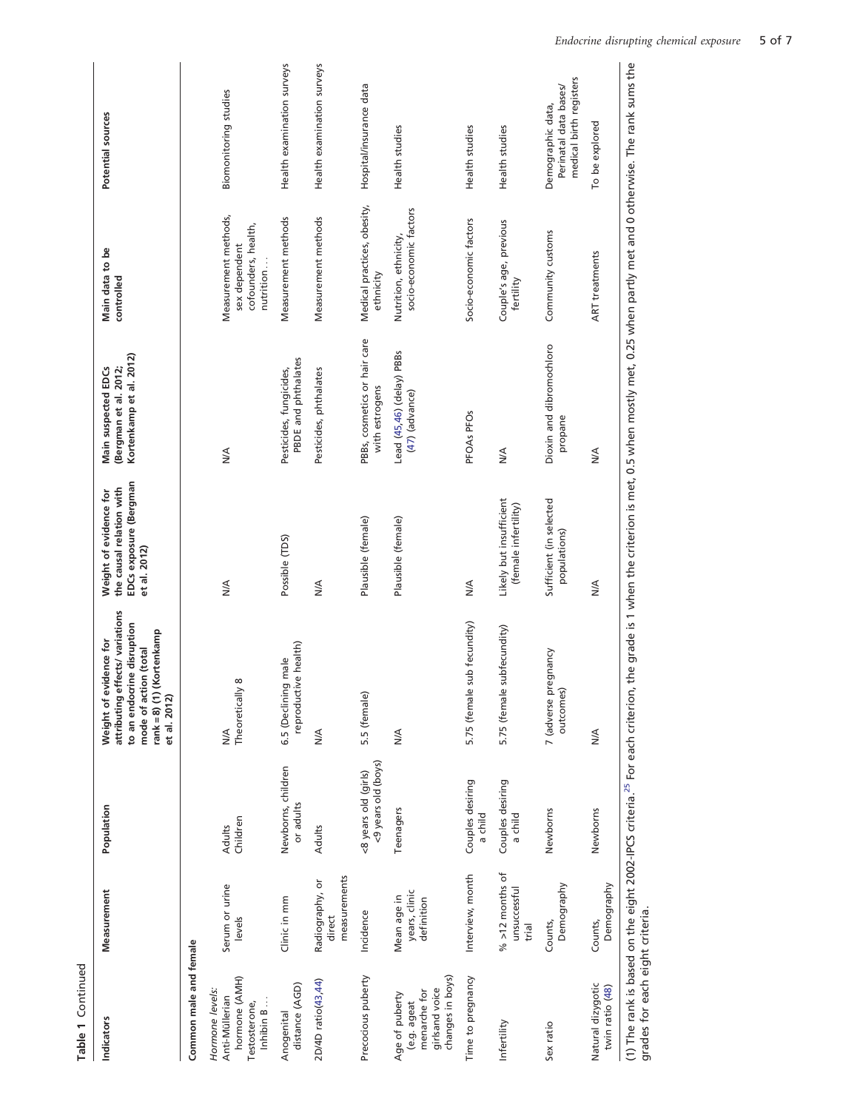Table 1 Continued Table 1 Continued

| Indicators                                                                          | Measurement                                | Population                                                                               | attributing effects/ variations<br>to an endocrine disruption<br>rank = 8) (1) (Kortenkamp<br>Weight of evidence for<br>mode of action (total<br>et al. 2012) | EDCs exposure (Bergman<br>the causal relation with<br>Weight of evidence for<br>et al. 2012) | Kortenkamp et al. 2012)<br>Main suspected EDCs<br>(Bergman et al. 2012;                                                | Main data to be<br>controlled                                             | Potential sources                                                     |
|-------------------------------------------------------------------------------------|--------------------------------------------|------------------------------------------------------------------------------------------|---------------------------------------------------------------------------------------------------------------------------------------------------------------|----------------------------------------------------------------------------------------------|------------------------------------------------------------------------------------------------------------------------|---------------------------------------------------------------------------|-----------------------------------------------------------------------|
| Common male and female                                                              |                                            |                                                                                          |                                                                                                                                                               |                                                                                              |                                                                                                                        |                                                                           |                                                                       |
| hormone (AMH)<br>Hormone levels:<br>Anti-Müllerian<br>Inhibin B<br>Testosterone,    | Serum or urine<br>levels                   | Children<br>Adults                                                                       | ${}^{\circ}$<br>Theoretically<br>≸                                                                                                                            | ₹                                                                                            | $\frac{4}{2}$                                                                                                          | Measurement methods,<br>cofounders, health,<br>sex dependent<br>nutrition | Biomonitoring studies                                                 |
| distance (AGD)<br>Anogenital                                                        | Clinic in mm                               | Newborns, children<br>or adults                                                          | reproductive health)<br>6.5 (Declining male                                                                                                                   | Possible (TDS)                                                                               | PBDE and phthalates<br>Pesticides, fungicides,                                                                         | Measurement methods                                                       | Health examination surveys                                            |
| 2D/4D ratio(43,44)                                                                  | measurements<br>Radiography, or<br>direct  | Adults                                                                                   | $\frac{4}{2}$                                                                                                                                                 | $\frac{4}{2}$                                                                                | Pesticides, phthalates                                                                                                 | Measurement methods                                                       | Health examination surveys                                            |
| Precocious puberty                                                                  | Incidence                                  | <9 years old (boys)<br><8 years old (girls)                                              | 5.5 (female)                                                                                                                                                  | Plausible (female)                                                                           | PBBs, cosmetics or hair care<br>with estrogens                                                                         | Medical practices, obesity,<br>ethnicity                                  | Hospital/insurance data                                               |
| changes in boys)<br>girlsand voice<br>menarche for<br>Age of puberty<br>(e.g. ageat | years, clinic<br>Mean age in<br>definition | Teenagers                                                                                | $\frac{4}{2}$                                                                                                                                                 | Plausible (female)                                                                           | Lead (45,46) (delay) PBBs<br>(47) (advance)                                                                            | socio-economic factors<br>Nutrition, ethnicity,                           | Health studies                                                        |
| Time to pregnancy                                                                   | Interview, month                           | Couples desiring<br>a child                                                              | sub fecundity)<br>5.75 (female                                                                                                                                | $\frac{4}{2}$                                                                                | PFOAs PFOs                                                                                                             | Socio-economic factors                                                    | Health studies                                                        |
| Infertility                                                                         | $%$ >12 months of<br>unsuccessful<br>trial | Couples desiring<br>a child                                                              | 5.75 (female subfecundity)                                                                                                                                    | Likely but insufficient<br>(female infertility)                                              | $\frac{4}{2}$                                                                                                          | Couple's age, previous<br>fertility                                       | Health studies                                                        |
| Sex ratio                                                                           | Demography<br>Counts,                      | Newborns                                                                                 | 7 (adverse pregnancy<br>outcomes)                                                                                                                             | Sufficient (in selected<br>populations)                                                      | Dioxin and dibromochloro<br>propane                                                                                    | Community customs                                                         | medical birth registers<br>Perinatal data bases/<br>Demographic data, |
| Natural dizygotic<br>twin ratio (48)                                                | Demography<br>Counts,                      | Newborns                                                                                 | $\frac{4}{2}$                                                                                                                                                 | $\frac{4}{2}$                                                                                | $\frac{4}{2}$                                                                                                          | <b>ART</b> treatments                                                     | To be explored                                                        |
| grades for each eight criteria.                                                     |                                            | (1) The rank is based on the eight 2002-IPCS criteria. <sup>25</sup> For each criterion, |                                                                                                                                                               |                                                                                              | the grade is 1 when the criterion is met, 0.5 when mostly met, 0.25 when partly met and 0 otherwise. The rank sums the |                                                                           |                                                                       |

Endocrine disrupting chemical exposure 5 of 7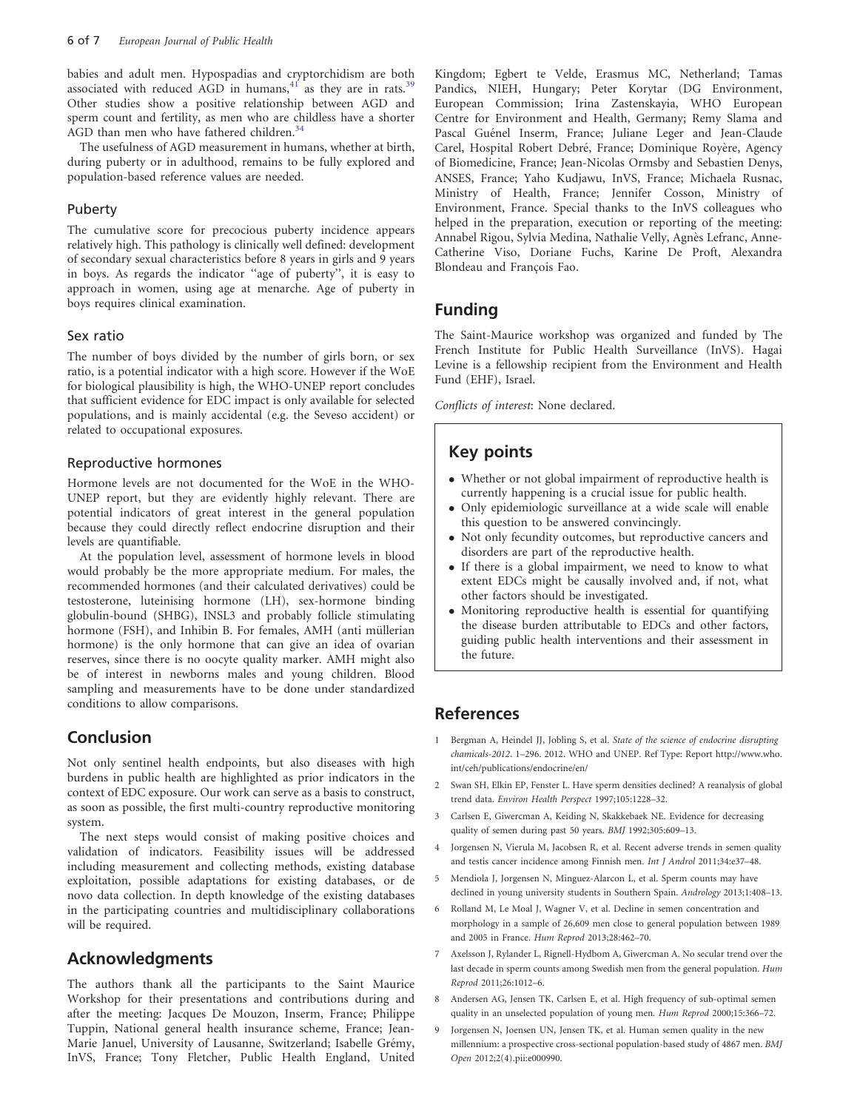<span id="page-5-0"></span>babies and adult men. Hypospadias and cryptorchidism are both associated with reduced  $\widehat{AGD}$  in humans,  $41$  as they are in rats.<sup>35</sup> Other studies show a positive relationship between AGD and sperm count and fertility, as men who are childless have a shorter AGD than men who have fathered children.<sup>[34](#page-6-0)</sup>

The usefulness of AGD measurement in humans, whether at birth, during puberty or in adulthood, remains to be fully explored and population-based reference values are needed.

#### Puberty

The cumulative score for precocious puberty incidence appears relatively high. This pathology is clinically well defined: development of secondary sexual characteristics before 8 years in girls and 9 years in boys. As regards the indicator ''age of puberty'', it is easy to approach in women, using age at menarche. Age of puberty in boys requires clinical examination.

#### Sex ratio

The number of boys divided by the number of girls born, or sex ratio, is a potential indicator with a high score. However if the WoE for biological plausibility is high, the WHO-UNEP report concludes that sufficient evidence for EDC impact is only available for selected populations, and is mainly accidental (e.g. the Seveso accident) or related to occupational exposures.

#### Reproductive hormones

Hormone levels are not documented for the WoE in the WHO-UNEP report, but they are evidently highly relevant. There are potential indicators of great interest in the general population because they could directly reflect endocrine disruption and their levels are quantifiable.

At the population level, assessment of hormone levels in blood would probably be the more appropriate medium. For males, the recommended hormones (and their calculated derivatives) could be testosterone, luteinising hormone (LH), sex-hormone binding globulin-bound (SHBG), INSL3 and probably follicle stimulating hormone (FSH), and Inhibin B. For females, AMH (anti müllerian hormone) is the only hormone that can give an idea of ovarian reserves, since there is no oocyte quality marker. AMH might also be of interest in newborns males and young children. Blood sampling and measurements have to be done under standardized conditions to allow comparisons.

### Conclusion

Not only sentinel health endpoints, but also diseases with high burdens in public health are highlighted as prior indicators in the context of EDC exposure. Our work can serve as a basis to construct, as soon as possible, the first multi-country reproductive monitoring system.

The next steps would consist of making positive choices and validation of indicators. Feasibility issues will be addressed including measurement and collecting methods, existing database exploitation, possible adaptations for existing databases, or de novo data collection. In depth knowledge of the existing databases in the participating countries and multidisciplinary collaborations will be required.

### Acknowledgments

The authors thank all the participants to the Saint Maurice Workshop for their presentations and contributions during and after the meeting: Jacques De Mouzon, Inserm, France; Philippe Tuppin, National general health insurance scheme, France; Jean-Marie Januel, University of Lausanne, Switzerland; Isabelle Grémy, InVS, France; Tony Fletcher, Public Health England, United Kingdom; Egbert te Velde, Erasmus MC, Netherland; Tamas Pandics, NIEH, Hungary; Peter Korytar (DG Environment, European Commission; Irina Zastenskayia, WHO European Centre for Environment and Health, Germany; Remy Slama and Pascal Guénel Inserm, France; Juliane Leger and Jean-Claude Carel, Hospital Robert Debré, France; Dominique Royère, Agency of Biomedicine, France; Jean-Nicolas Ormsby and Sebastien Denys, ANSES, France; Yaho Kudjawu, InVS, France; Michaela Rusnac, Ministry of Health, France; Jennifer Cosson, Ministry of Environment, France. Special thanks to the InVS colleagues who helped in the preparation, execution or reporting of the meeting: Annabel Rigou, Sylvia Medina, Nathalie Velly, Agnès Lefranc, Anne-Catherine Viso, Doriane Fuchs, Karine De Proft, Alexandra Blondeau and François Fao.

### Funding

The Saint-Maurice workshop was organized and funded by The French Institute for Public Health Surveillance (InVS). Hagai Levine is a fellowship recipient from the Environment and Health Fund (EHF), Israel.

Conflicts of interest: None declared.

### Key points

- Whether or not global impairment of reproductive health is currently happening is a crucial issue for public health.
- Only epidemiologic surveillance at a wide scale will enable this question to be answered convincingly.
- Not only fecundity outcomes, but reproductive cancers and disorders are part of the reproductive health.
- If there is a global impairment, we need to know to what extent EDCs might be causally involved and, if not, what other factors should be investigated.
- Monitoring reproductive health is essential for quantifying the disease burden attributable to EDCs and other factors, guiding public health interventions and their assessment in the future.

### References

- 1 Bergman A, Heindel JJ, Jobling S, et al. State of the science of endocrine disrupting chamicals-2012. 1–296. 2012. WHO and UNEP. Ref Type: Report [http://www.who.](http://www.who.int/ceh/publications/endocrine/en/) [int/ceh/publications/endocrine/en/](http://www.who.int/ceh/publications/endocrine/en/)
- 2 Swan SH, Elkin EP, Fenster L. Have sperm densities declined? A reanalysis of global trend data. Environ Health Perspect 1997;105:1228–32.
- 3 Carlsen E, Giwercman A, Keiding N, Skakkebaek NE. Evidence for decreasing quality of semen during past 50 years. BMJ 1992;305:609–13.
- 4 Jorgensen N, Vierula M, Jacobsen R, et al. Recent adverse trends in semen quality and testis cancer incidence among Finnish men. Int J Androl 2011;34:e37–48.
- 5 Mendiola J, Jorgensen N, Minguez-Alarcon L, et al. Sperm counts may have declined in young university students in Southern Spain. Andrology 2013;1:408–13.
- 6 Rolland M, Le Moal J, Wagner V, et al. Decline in semen concentration and morphology in a sample of 26,609 men close to general population between 1989 and 2005 in France. Hum Reprod 2013;28:462–70.
- Axelsson J, Rylander L, Rignell-Hydbom A, Giwercman A. No secular trend over the last decade in sperm counts among Swedish men from the general population. Hum Reprod 2011;26:1012–6.
- 8 Andersen AG, Jensen TK, Carlsen E, et al. High frequency of sub-optimal semen quality in an unselected population of young men. Hum Reprod 2000;15:366–72.
- 9 Jorgensen N, Joensen UN, Jensen TK, et al. Human semen quality in the new millennium: a prospective cross-sectional population-based study of 4867 men. BMJ Open 2012;2(4).pii:e000990.